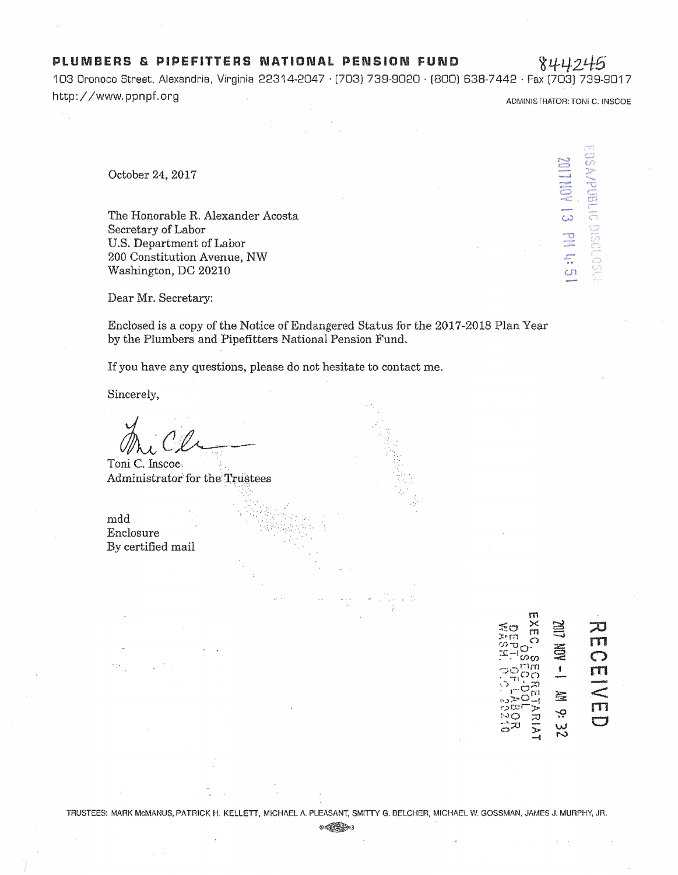## **PLUMBERS & PIPEFITTERS NATIONAL PENSION FUND** 844246

103 Oronoco Street. Alexandria, Virginia 22314-2047 · [703) 739-9020 · (800) 638-7442 ·Fax (703) 739-9017 http://www.ppnpf.org ADMINIS RATOR: TONI C. INSCOE

 $\sim$ = -..J - 1110  $\circ$  $\frac{1}{\mathcal{N}(\mathcal{C})}\sum_{i=1}^{n-1}$  $\overline{\mathbb{C}}$  *c*   $\tilde{\omega}$  $\sum_{i=1}^{n}$ v  $\frac{1}{2}$ co  $\frac{1}{2}$ '-~  $\cup$  $\sqrt{2}$ 

**bH** 

 $C1$ 

October 24, 2017

The Honorable R. Alexander Acosta Secretary of Labor U.S. Department of Labor 200 Constitution Avenue, NW Washington, DC 20210

Dear Mr. Secretary:

Enclosed is a copy of the Notice of Endangered Status for the 2017-2018 Plan Year by the Plumbers and Pipefitters National Pension Fund.

 $\delta_{\rm{tot}}$ 

*·.· . . :* 

If you have any questions, please do not hesitate to contact me.

·.'· ..

. . . . . . . .

Sincerely,

Toni C. Inscoe Administrator for the Trustees

mdd Enclosure By certified mail

**::0 m**  É **C') m**  -  $\pmb{\mathbb{1}}$  $\leq$ 益 **m**  ۻ RIA<br>K  $\Box$ 3<br>Z

 $@{\oplus}$   $@{\oplus}$